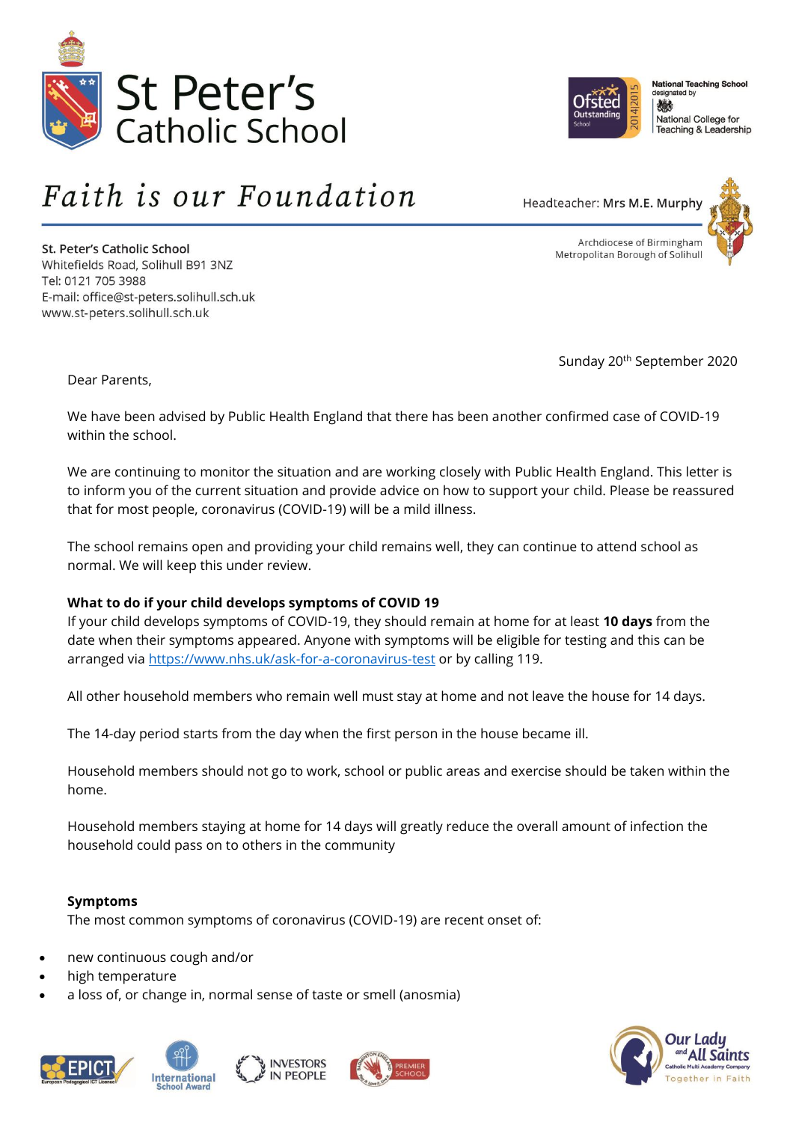



**National Teaching School** esigna ted by 戀 National College for Teaching & Leadership

# Faith is our Foundation

St. Peter's Catholic School Whitefields Road, Solihull B91 3NZ Tel: 0121 705 3988 E-mail: office@st-peters.solihull.sch.uk www.st-peters.solihull.sch.uk



Sunday 20th September 2020

Dear Parents,

We have been advised by Public Health England that there has been another confirmed case of COVID-19 within the school.

We are continuing to monitor the situation and are working closely with Public Health England. This letter is to inform you of the current situation and provide advice on how to support your child. Please be reassured that for most people, coronavirus (COVID-19) will be a mild illness.

The school remains open and providing your child remains well, they can continue to attend school as normal. We will keep this under review.

## **What to do if your child develops symptoms of COVID 19**

If your child develops symptoms of COVID-19, they should remain at home for at least **10 days** from the date when their symptoms appeared. Anyone with symptoms will be eligible for testing and this can be arranged via<https://www.nhs.uk/ask-for-a-coronavirus-test> or by calling 119.

All other household members who remain well must stay at home and not leave the house for 14 days.

The 14-day period starts from the day when the first person in the house became ill.

Household members should not go to work, school or public areas and exercise should be taken within the home.

Household members staying at home for 14 days will greatly reduce the overall amount of infection the household could pass on to others in the community

## **Symptoms**

The most common symptoms of coronavirus (COVID-19) are recent onset of:

- new continuous cough and/or
- high temperature
- a loss of, or change in, normal sense of taste or smell (anosmia)